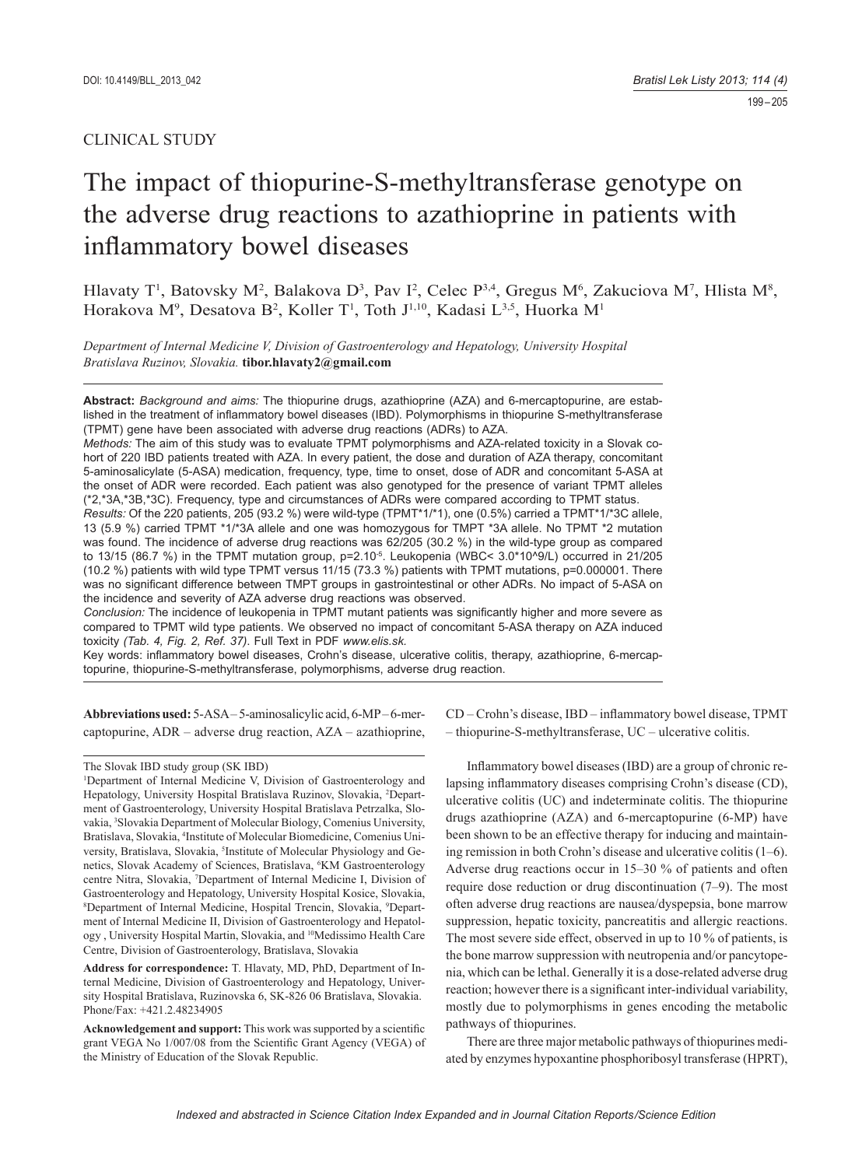# CLINICAL STUDY

# The impact of thiopurine-S-methyltransferase genotype on the adverse drug reactions to azathioprine in patients with inflammatory bowel diseases

Hlavaty T<sup>1</sup>, Batovsky M<sup>2</sup>, Balakova D<sup>3</sup>, Pav I<sup>2</sup>, Celec P<sup>3,4</sup>, Gregus M<sup>6</sup>, Zakuciova M<sup>7</sup>, Hlista M<sup>8</sup>, Horakova M<sup>9</sup>, Desatova B<sup>2</sup>, Koller T<sup>1</sup>, Toth J<sup>1,10</sup>, Kadasi L<sup>3,5</sup>, Huorka M<sup>1</sup>

*Department of Internal Medicine V, Division of Gastroenterology and Hepatology, University Hospital Bratislava Ruzinov, Slovakia.* **tibor.hlavaty2@gmail.com**

**Abstract:** *Background and aims:* The thiopurine drugs, azathioprine (AZA) and 6-mercaptopurine, are established in the treatment of inflammatory bowel diseases (IBD). Polymorphisms in thiopurine S-methyltransferase (TPMT) gene have been associated with adverse drug reactions (ADRs) to AZA.

*Methods:* The aim of this study was to evaluate TPMT polymorphisms and AZA-related toxicity in a Slovak cohort of 220 IBD patients treated with AZA. In every patient, the dose and duration of AZA therapy, concomitant 5-aminosalicylate (5-ASA) medication, frequency, type, time to onset, dose of ADR and concomitant 5-ASA at the onset of ADR were recorded. Each patient was also genotyped for the presence of variant TPMT alleles (\*2,\*3A,\*3B,\*3C). Frequency, type and circumstances of ADRs were compared according to TPMT status.

*Results:* Of the 220 patients, 205 (93.2 %) were wild-type (TPMT\*1/\*1), one (0.5%) carried a TPMT\*1/\*3C allele, 13 (5.9 %) carried TPMT \*1/\*3A allele and one was homozygous for TMPT \*3A allele. No TPMT \*2 mutation was found. The incidence of adverse drug reactions was 62/205 (30.2 %) in the wild-type group as compared to 13/15 (86.7 %) in the TPMT mutation group, p=2.10<sup>-5</sup>. Leukopenia (WBC< 3.0\*10^9/L) occurred in 21/205 (10.2 %) patients with wild type TPMT versus 11/15 (73.3 %) patients with TPMT mutations, p=0.000001. There was no significant difference between TMPT groups in gastrointestinal or other ADRs. No impact of 5-ASA on the incidence and severity of AZA adverse drug reactions was observed.

*Conclusion:* The incidence of leukopenia in TPMT mutant patients was significantly higher and more severe as compared to TPMT wild type patients. We observed no impact of concomitant 5-ASA therapy on AZA induced toxicity *(Tab. 4, Fig. 2, Ref. 37)*. Full Text in PDF *www.elis.sk.*

Key words: inflammatory bowel diseases, Crohn's disease, ulcerative colitis, therapy, azathioprine, 6-mercaptopurine, thiopurine-S-methyltransferase, polymorphisms, adverse drug reaction.

**Abbreviations used:** 5-ASA – 5-aminosalicylic acid, 6-MP – 6-mercaptopurine, ADR – adverse drug reaction, AZA – azathioprine,

**Address for correspondence:** T. Hlavaty, MD, PhD, Department of Internal Medicine, Division of Gastroenterology and Hepatology, University Hospital Bratislava, Ruzinovska 6, SK-826 06 Bratislava, Slovakia. Phone/Fax: +421.2.48234905

CD – Crohn's disease, IBD – inflammatory bowel disease, TPMT – thiopurine-S-methyltransferase, UC – ulcerative colitis.

Inflammatory bowel diseases (IBD) are a group of chronic relapsing inflammatory diseases comprising Crohn's disease (CD), ulcerative colitis (UC) and indeterminate colitis. The thiopurine drugs azathioprine (AZA) and 6-mercaptopurine (6-MP) have been shown to be an effective therapy for inducing and maintaining remission in both Crohn's disease and ulcerative colitis (1–6). Adverse drug reactions occur in 15–30 % of patients and often require dose reduction or drug discontinuation (7–9). The most often adverse drug reactions are nausea/dyspepsia, bone marrow suppression, hepatic toxicity, pancreatitis and allergic reactions. The most severe side effect, observed in up to 10 % of patients, is the bone marrow suppression with neutropenia and /or pancytopenia, which can be lethal. Generally it is a dose-related adverse drug reaction; however there is a significant inter-individual variability, mostly due to polymorphisms in genes encoding the metabolic pathways of thiopurines.

There are three major metabolic pathways of thiopurines mediated by enzymes hypoxantine phosphoribosyl transferase (HPRT),

The Slovak IBD study group (SK IBD)

<sup>&</sup>lt;sup>1</sup>Department of Internal Medicine V, Division of Gastroenterology and Hepatology, University Hospital Bratislava Ruzinov, Slovakia, <sup>2</sup>Department of Gastroenterology, University Hospital Bratislava Petrzalka, Slovakia, <sup>3</sup>Slovakia Department of Molecular Biology, Comenius University, Bratislava, Slovakia, <sup>4</sup>Institute of Molecular Biomedicine, Comenius University, Bratislava, Slovakia, <sup>5</sup>Institute of Molecular Physiology and Genetics, Slovak Academy of Sciences, Bratislava, <sup>6</sup>KM Gastroenterology centre Nitra, Slovakia, 7 Department of Internal Medicine I, Division of Gastroenterology and Hepatology, University Hospital Kosice, Slovakia, <sup>8</sup>Department of Internal Medicine, Hospital Trencin, Slovakia, <sup>9</sup>Department of Internal Medicine II, Division of Gastroenterology and Hepatology , University Hospital Martin, Slovakia, and 10Medissimo Health Care Centre, Division of Gastroenterology, Bratislava, Slovakia

Acknowledgement and support: This work was supported by a scientific grant VEGA No 1/007/08 from the Scientific Grant Agency (VEGA) of the Ministry of Education of the Slovak Republic.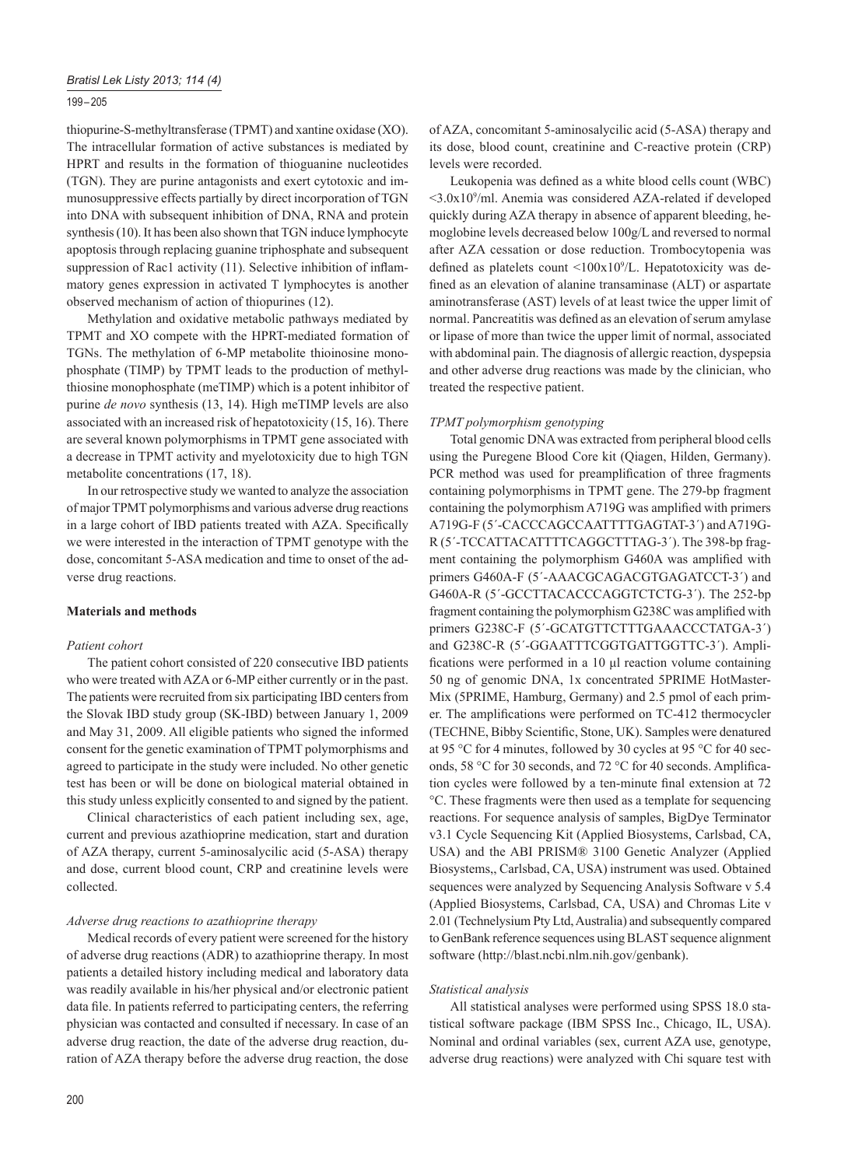## 199 – 205

thiopurine-S-methyltransferase (TPMT) and xantine oxidase (XO). The intracellular formation of active substances is mediated by HPRT and results in the formation of thioguanine nucleotides (TGN). They are purine antagonists and exert cytotoxic and immunosuppressive effects partially by direct incorporation of TGN into DNA with subsequent inhibition of DNA, RNA and protein synthesis (10). It has been also shown that TGN induce lymphocyte apoptosis through replacing guanine triphosphate and subsequent suppression of Rac1 activity (11). Selective inhibition of inflammatory genes expression in activated T lymphocytes is another observed mechanism of action of thiopurines (12).

Methylation and oxidative metabolic pathways mediated by TPMT and XO compete with the HPRT-mediated formation of TGNs. The methylation of 6-MP metabolite thioinosine monophosphate (TIMP) by TPMT leads to the production of methylthiosine monophosphate (meTIMP) which is a potent inhibitor of purine *de novo* synthesis (13, 14). High meTIMP levels are also associated with an increased risk of hepatotoxicity (15, 16). There are several known polymorphisms in TPMT gene associated with a decrease in TPMT activity and myelotoxicity due to high TGN metabolite concentrations (17, 18).

In our retrospective study we wanted to analyze the association of major TPMT polymorphisms and various adverse drug reactions in a large cohort of IBD patients treated with AZA. Specifically we were interested in the interaction of TPMT genotype with the dose, concomitant 5-ASA medication and time to onset of the adverse drug reactions.

## **Materials and methods**

#### *Patient cohort*

The patient cohort consisted of 220 consecutive IBD patients who were treated with AZA or 6-MP either currently or in the past. The patients were recruited from six participating IBD centers from the Slovak IBD study group (SK-IBD) between January 1, 2009 and May 31, 2009. All eligible patients who signed the informed consent for the genetic examination of TPMT polymorphisms and agreed to participate in the study were included. No other genetic test has been or will be done on biological material obtained in this study unless explicitly consented to and signed by the patient.

Clinical characteristics of each patient including sex, age, current and previous azathioprine medication, start and duration of AZA therapy, current 5-aminosalycilic acid (5-ASA) therapy and dose, current blood count, CRP and creatinine levels were collected.

#### *Adverse drug reactions to azathioprine therapy*

Medical records of every patient were screened for the history of adverse drug reactions (ADR) to azathioprine therapy. In most patients a detailed history including medical and laboratory data was readily available in his/her physical and/or electronic patient data file. In patients referred to participating centers, the referring physician was contacted and consulted if necessary. In case of an adverse drug reaction, the date of the adverse drug reaction, duration of AZA therapy before the adverse drug reaction, the dose

Leukopenia was defined as a white blood cells count (WBC)  $\langle 3.0x10^9$ /ml. Anemia was considered AZA-related if developed quickly during AZA therapy in absence of apparent bleeding, hemoglobine levels decreased below 100g/L and reversed to normal after AZA cessation or dose reduction. Trombocytopenia was defined as platelets count  $\langle 100x10^9/L \rangle$ . Hepatotoxicity was defined as an elevation of alanine transaminase (ALT) or aspartate aminotransferase (AST) levels of at least twice the upper limit of normal. Pancreatitis was defined as an elevation of serum amylase or lipase of more than twice the upper limit of normal, associated with abdominal pain. The diagnosis of allergic reaction, dyspepsia and other adverse drug reactions was made by the clinician, who treated the respective patient.

## *TPMT polymorphism genotyping*

Total genomic DNA was extracted from peripheral blood cells using the Puregene Blood Core kit (Qiagen, Hilden, Germany). PCR method was used for preamplification of three fragments containing polymorphisms in TPMT gene. The 279-bp fragment containing the polymorphism A719G was amplified with primers A719G-F (5´-CACCCAGCCAATTTTGAGTAT-3´) and A719G-R (5´-TCCATTACATTTTCAGGCTTTAG-3´). The 398-bp fragment containing the polymorphism G460A was amplified with primers G460A-F (5´-AAACGCAGACGTGAGATCCT-3´) and G460A-R (5´-GCCTTACACCCAGGTCTCTG-3´). The 252-bp fragment containing the polymorphism G238C was amplified with primers G238C-F (5´-GCATGTTCTTTGAAACCCTATGA-3´) and G238C-R (5´-GGAATTTCGGTGATTGGTTC-3´). Amplifications were performed in a 10 μl reaction volume containing 50 ng of genomic DNA, 1x concentrated 5PRIME HotMaster-Mix (5PRIME, Hamburg, Germany) and 2.5 pmol of each primer. The amplifications were performed on TC-412 thermocycler (TECHNE, Bibby Scientific, Stone, UK). Samples were denatured at 95 °C for 4 minutes, followed by 30 cycles at 95 °C for 40 seconds, 58 °C for 30 seconds, and 72 °C for 40 seconds. Amplification cycles were followed by a ten-minute final extension at 72 °C. These fragments were then used as a template for sequencing reactions. For sequence analysis of samples, BigDye Terminator v3.1 Cycle Sequencing Kit (Applied Biosystems, Carlsbad, CA, USA) and the ABI PRISM® 3100 Genetic Analyzer (Applied Biosystems,, Carlsbad, CA, USA) instrument was used. Obtained sequences were analyzed by Sequencing Analysis Software v 5.4 (Applied Biosystems, Carlsbad, CA, USA) and Chromas Lite v 2.01 (Technelysium Pty Ltd, Australia) and subsequently compared to GenBank reference sequences using BLAST sequence alignment software (http://blast.ncbi.nlm.nih.gov/genbank).

## *Statistical analysis*

All statistical analyses were performed using SPSS 18.0 statistical software package (IBM SPSS Inc., Chicago, IL, USA). Nominal and ordinal variables (sex, current AZA use, genotype, adverse drug reactions) were analyzed with Chi square test with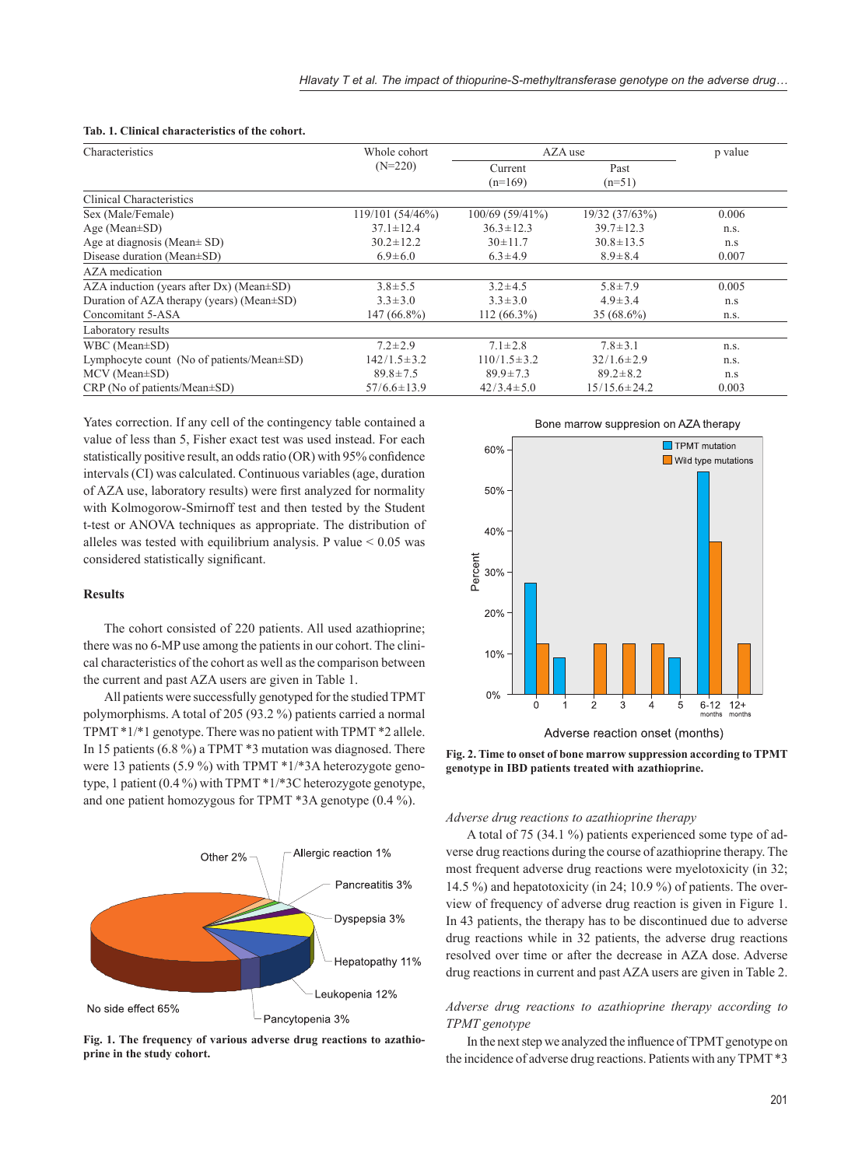| Characteristics                                   | Whole cohort      |                      | AZA use            |       |  |
|---------------------------------------------------|-------------------|----------------------|--------------------|-------|--|
|                                                   | $(N=220)$         | Current<br>$(n=169)$ | Past<br>$(n=51)$   |       |  |
| Clinical Characteristics                          |                   |                      |                    |       |  |
| Sex (Male/Female)                                 | 119/101(54/46%)   | $100/69(59/41\%)$    | 19/32 (37/63%)     | 0.006 |  |
| Age (Mean $\pm$ SD)                               | $37.1 \pm 12.4$   | $36.3 \pm 12.3$      | $39.7 \pm 12.3$    | n.s.  |  |
| Age at diagnosis (Mean $\pm$ SD)                  | $30.2 \pm 12.2$   | $30 \pm 11.7$        | $30.8 \pm 13.5$    | n.s   |  |
| Disease duration (Mean±SD)                        | $6.9 \pm 6.0$     | $6.3 \pm 4.9$        | $8.9 \pm 8.4$      | 0.007 |  |
| AZA medication                                    |                   |                      |                    |       |  |
| $AZA$ induction (years after Dx) (Mean $\pm SD$ ) | $3.8 \pm 5.5$     | $3.2 \pm 4.5$        | $5.8 \pm 7.9$      | 0.005 |  |
| Duration of AZA therapy (years) (Mean±SD)         | $3.3 \pm 3.0$     | $3.3 \pm 3.0$        | $4.9 \pm 3.4$      | n.s   |  |
| Concomitant 5-ASA                                 | 147 (66.8%)       | $112(66.3\%)$        | 35 (68.6%)         | n.s.  |  |
| Laboratory results                                |                   |                      |                    |       |  |
| WBC (Mean±SD)                                     | $7.2 \pm 2.9$     | $7.1 \pm 2.8$        | $7.8 \pm 3.1$      | n.s.  |  |
| Lymphocyte count (No of patients/Mean±SD)         | $142/1.5 \pm 3.2$ | $110/1.5 \pm 3.2$    | $32/1.6 \pm 2.9$   | n.s.  |  |
| MCV (Mean±SD)                                     | $89.8 \pm 7.5$    | $89.9 \pm 7.3$       | $89.2 \pm 8.2$     | n.s   |  |
| $CRP$ (No of patients/Mean $\pm SD$ )             | $57/6.6 \pm 13.9$ | $42/3.4 \pm 5.0$     | $15/15.6 \pm 24.2$ | 0.003 |  |

#### **Tab. 1. Clinical characteristics of the cohort.**

Yates correction. If any cell of the contingency table contained a value of less than 5, Fisher exact test was used instead. For each statistically positive result, an odds ratio (OR) with 95% confidence intervals (CI) was calculated. Continuous variables (age, duration of AZA use, laboratory results) were first analyzed for normality with Kolmogorow-Smirnoff test and then tested by the Student t-test or ANOVA techniques as appropriate. The distribution of alleles was tested with equilibrium analysis. P value  $< 0.05$  was considered statistically significant.

#### **Results**

The cohort consisted of 220 patients. All used azathioprine; there was no 6-MP use among the patients in our cohort. The clinical characteristics of the cohort as well as the comparison between the current and past AZA users are given in Table 1.

All patients were successfully genotyped for the studied TPMT polymorphisms. A total of 205 (93.2 %) patients carried a normal TPMT \*1/\*1 genotype. There was no patient with TPMT \*2 allele. In 15 patients (6.8 %) a TPMT \*3 mutation was diagnosed. There were 13 patients (5.9 %) with TPMT \*1/\*3A heterozygote genotype, 1 patient (0.4 %) with TPMT \*1/\*3C heterozygote genotype, and one patient homozygous for TPMT \*3A genotype (0.4 %).



**Fig. 1. The frequency of various adverse drug reactions to azathioprine in the study cohort.**



**Fig. 2. Time to onset of bone marrow suppression according to TPMT genotype in IBD patients treated with azathioprine.**

## *Adverse drug reactions to azathioprine therapy*

A total of 75 (34.1 %) patients experienced some type of adverse drug reactions during the course of azathioprine therapy. The most frequent adverse drug reactions were myelotoxicity (in 32; 14.5 %) and hepatotoxicity (in 24; 10.9 %) of patients. The overview of frequency of adverse drug reaction is given in Figure 1. In 43 patients, the therapy has to be discontinued due to adverse drug reactions while in 32 patients, the adverse drug reactions resolved over time or after the decrease in AZA dose. Adverse drug reactions in current and past AZA users are given in Table 2.

# *Adverse drug reactions to azathioprine therapy according to TPMT genotype*

In the next step we analyzed the influence of TPMT genotype on the incidence of adverse drug reactions. Patients with any TPMT \*3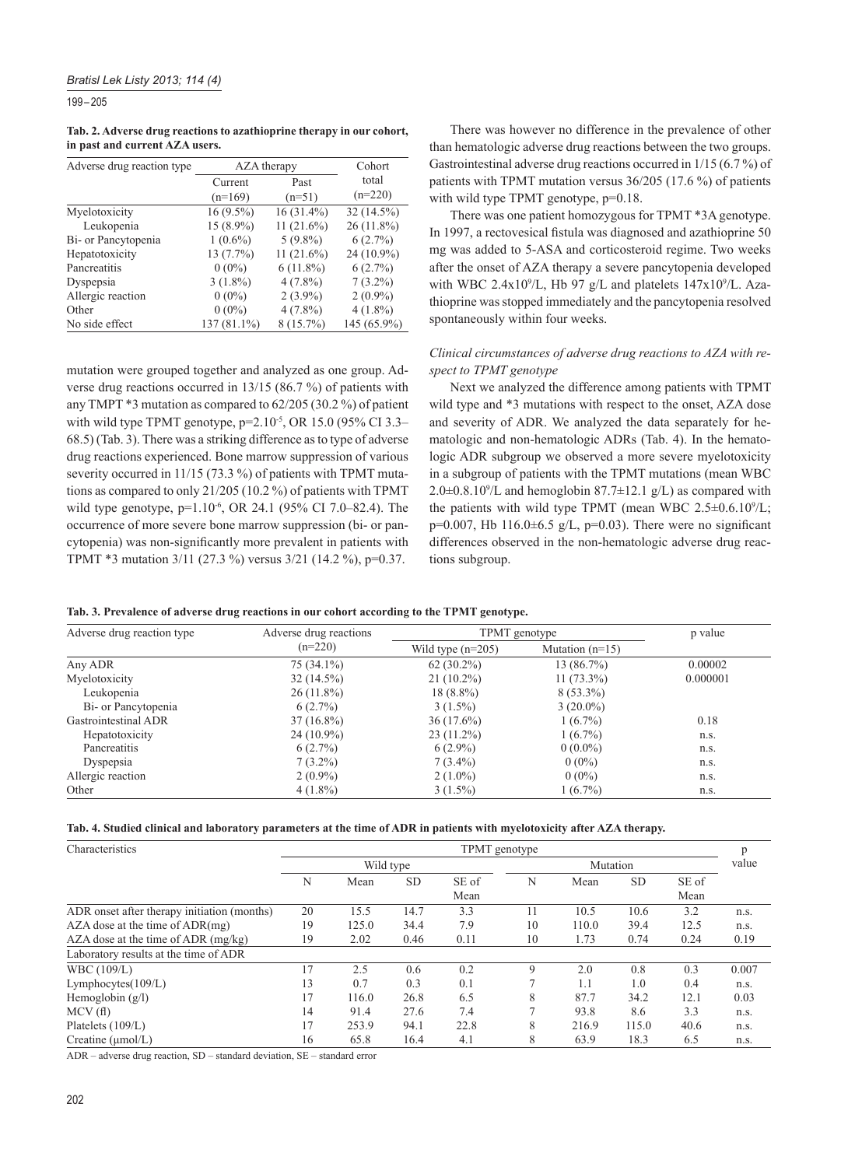199 – 205

|  |                                | Tab. 2. Adverse drug reactions to azathioprine therapy in our cohort, |  |
|--|--------------------------------|-----------------------------------------------------------------------|--|
|  | in past and current AZA users. |                                                                       |  |

| Adverse drug reaction type | AZA therapy | Cohort       |              |  |
|----------------------------|-------------|--------------|--------------|--|
|                            | Current     | Past         | total        |  |
|                            | $(n=169)$   | $(n=51)$     | $(n=220)$    |  |
| Myelotoxicity              | $16(9.5\%)$ | $16(31.4\%)$ | 32 (14.5%)   |  |
| Leukopenia                 | 15 (8.9%)   | $11(21.6\%)$ | $26(11.8\%)$ |  |
| Bi- or Pancytopenia        | $1(0.6\%)$  | $5(9.8\%)$   | $6(2.7\%)$   |  |
| Hepatotoxicity             | 13 (7.7%)   | $11(21.6\%)$ | $24(10.9\%)$ |  |
| Pancreatitis               | $0(0\%)$    | $6(11.8\%)$  | $6(2.7\%)$   |  |
| Dyspepsia                  | $3(1.8\%)$  | $4(7.8\%)$   | $7(3.2\%)$   |  |
| Allergic reaction          | $0(0\%)$    | $2(3.9\%)$   | $2(0.9\%)$   |  |
| Other                      | $0(0\%)$    | $4(7.8\%)$   | $4(1.8\%)$   |  |
| No side effect             | 137 (81.1%) | $8(15.7\%)$  | 145 (65.9%)  |  |

mutation were grouped together and analyzed as one group. Adverse drug reactions occurred in 13/15 (86.7 %) of patients with any TMPT \*3 mutation as compared to 62/205 (30.2 %) of patient with wild type TPMT genotype, p=2.10-5, OR 15.0 (95% CI 3.3– 68.5) (Tab. 3). There was a striking difference as to type of adverse drug reactions experienced. Bone marrow suppression of various severity occurred in 11/15 (73.3 %) of patients with TPMT mutations as compared to only 21/205 (10.2 %) of patients with TPMT wild type genotype, p=1.10<sup>-6</sup>, OR 24.1 (95% CI 7.0–82.4). The occurrence of more severe bone marrow suppression (bi- or pancytopenia) was non-significantly more prevalent in patients with TPMT \*3 mutation 3/11 (27.3 %) versus 3/21 (14.2 %), p=0.37.

There was however no difference in the prevalence of other than hematologic adverse drug reactions between the two groups. Gastrointestinal adverse drug reactions occurred in 1/15 (6.7 %) of patients with TPMT mutation versus 36/205 (17.6 %) of patients with wild type TPMT genotype,  $p=0.18$ .

There was one patient homozygous for TPMT \*3A genotype. In 1997, a rectovesical fistula was diagnosed and azathioprine 50 mg was added to 5-ASA and corticosteroid regime. Two weeks after the onset of AZA therapy a severe pancytopenia developed with WBC 2.4x10<sup>9</sup>/L, Hb 97 g/L and platelets  $147x10^9$ /L. Azathioprine was stopped immediately and the pancytopenia resolved spontaneously within four weeks.

## *Clinical circumstances of adverse drug reactions to AZA with respect to TPMT genotype*

Next we analyzed the difference among patients with TPMT wild type and  $*3$  mutations with respect to the onset, AZA dose and severity of ADR. We analyzed the data separately for hematologic and non-hematologic ADRs (Tab. 4). In the hematologic ADR subgroup we observed a more severe myelotoxicity in a subgroup of patients with the TPMT mutations (mean WBC  $2.0\pm0.8.10^{\circ}/L$  and hemoglobin 87.7 $\pm$ 12.1 g/L) as compared with the patients with wild type TPMT (mean WBC  $2.5\pm0.6.10^{9}/L$ ;  $p=0.007$ , Hb 116.0 $\pm$ 6.5 g/L, p=0.03). There were no significant differences observed in the non-hematologic adverse drug reactions subgroup.

|  |  |  |  |  |  |  |  |  | Tab. 3. Prevalence of adverse drug reactions in our cohort according to the TPMT genotype. |  |  |  |
|--|--|--|--|--|--|--|--|--|--------------------------------------------------------------------------------------------|--|--|--|
|--|--|--|--|--|--|--|--|--|--------------------------------------------------------------------------------------------|--|--|--|

| Adverse drug reaction type | Adverse drug reactions | TPMT genotype       | p value           |          |
|----------------------------|------------------------|---------------------|-------------------|----------|
|                            | $(n=220)$              | Wild type $(n=205)$ | Mutation $(n=15)$ |          |
| Any ADR                    | 75 (34.1%)             | $62(30.2\%)$        | 13(86.7%)         | 0.00002  |
| Myelotoxicity              | $32(14.5\%)$           | $21(10.2\%)$        | $11(73.3\%)$      | 0.000001 |
| Leukopenia                 | $26(11.8\%)$           | $18(8.8\%)$         | $8(53.3\%)$       |          |
| Bi- or Pancytopenia        | 6(2.7%)                | $3(1.5\%)$          | $3(20.0\%)$       |          |
| Gastrointestinal ADR       | $37(16.8\%)$           | $36(17.6\%)$        | $1(6.7\%)$        | 0.18     |
| Hepatotoxicity             | $24(10.9\%)$           | $23(11.2\%)$        | $1(6.7\%)$        | n.s.     |
| Pancreatitis               | 6(2.7%)                | $6(2.9\%)$          | $0(0.0\%)$        | n.s.     |
| Dyspepsia                  | $7(3.2\%)$             | $7(3.4\%)$          | $0(0\%)$          | n.s.     |
| Allergic reaction          | $2(0.9\%)$             | $2(1.0\%)$          | $0(0\%)$          | n.s.     |
| Other                      | $4(1.8\%)$             | $3(1.5\%)$          | $1(6.7\%)$        | n.s.     |

| Tab. 4. Studied clinical and laboratory parameters at the time of ADR in patients with myelotoxicity after AZA therapy. |  |
|-------------------------------------------------------------------------------------------------------------------------|--|
|-------------------------------------------------------------------------------------------------------------------------|--|

| Characteristics                             | TPMT genotype |       |           |       |    |          |           |       |       |
|---------------------------------------------|---------------|-------|-----------|-------|----|----------|-----------|-------|-------|
|                                             | Wild type     |       |           |       |    | Mutation |           |       |       |
|                                             | N             | Mean  | <b>SD</b> | SE of | N  | Mean     | <b>SD</b> | SE of |       |
|                                             |               |       |           | Mean  |    |          |           | Mean  |       |
| ADR onset after therapy initiation (months) | 20            | 15.5  | 14.7      | 3.3   | 11 | 10.5     | 10.6      | 3.2   | n.s.  |
| $AZA$ dose at the time of $ADR(mg)$         | 19            | 125.0 | 34.4      | 7.9   | 10 | 110.0    | 39.4      | 12.5  | n.s.  |
| $AZA$ dose at the time of $ADR$ (mg/kg)     | 19            | 2.02  | 0.46      | 0.11  | 10 | 1.73     | 0.74      | 0.24  | 0.19  |
| Laboratory results at the time of ADR       |               |       |           |       |    |          |           |       |       |
| WBC (109/L)                                 | 17            | 2.5   | 0.6       | 0.2   | 9  | 2.0      | 0.8       | 0.3   | 0.007 |
| Lymphocytes $(109/L)$                       | 13            | 0.7   | 0.3       | 0.1   | ⇁  | 1.1      | 1.0       | 0.4   | n.s.  |
| Hemoglobin $(g/l)$                          | 17            | 116.0 | 26.8      | 6.5   | 8  | 87.7     | 34.2      | 12.1  | 0.03  |
| MCV(f)                                      | 14            | 91.4  | 27.6      | 7.4   | ⇁  | 93.8     | 8.6       | 3.3   | n.s.  |
| Platelets (109/L)                           | 17            | 253.9 | 94.1      | 22.8  | 8  | 216.9    | 115.0     | 40.6  | n.s.  |
| Creatine $(\mu mol/L)$                      | 16            | 65.8  | 16.4      | 4.1   | 8  | 63.9     | 18.3      | 6.5   | n.s.  |

ADR – adverse drug reaction, SD – standard deviation, SE – standard error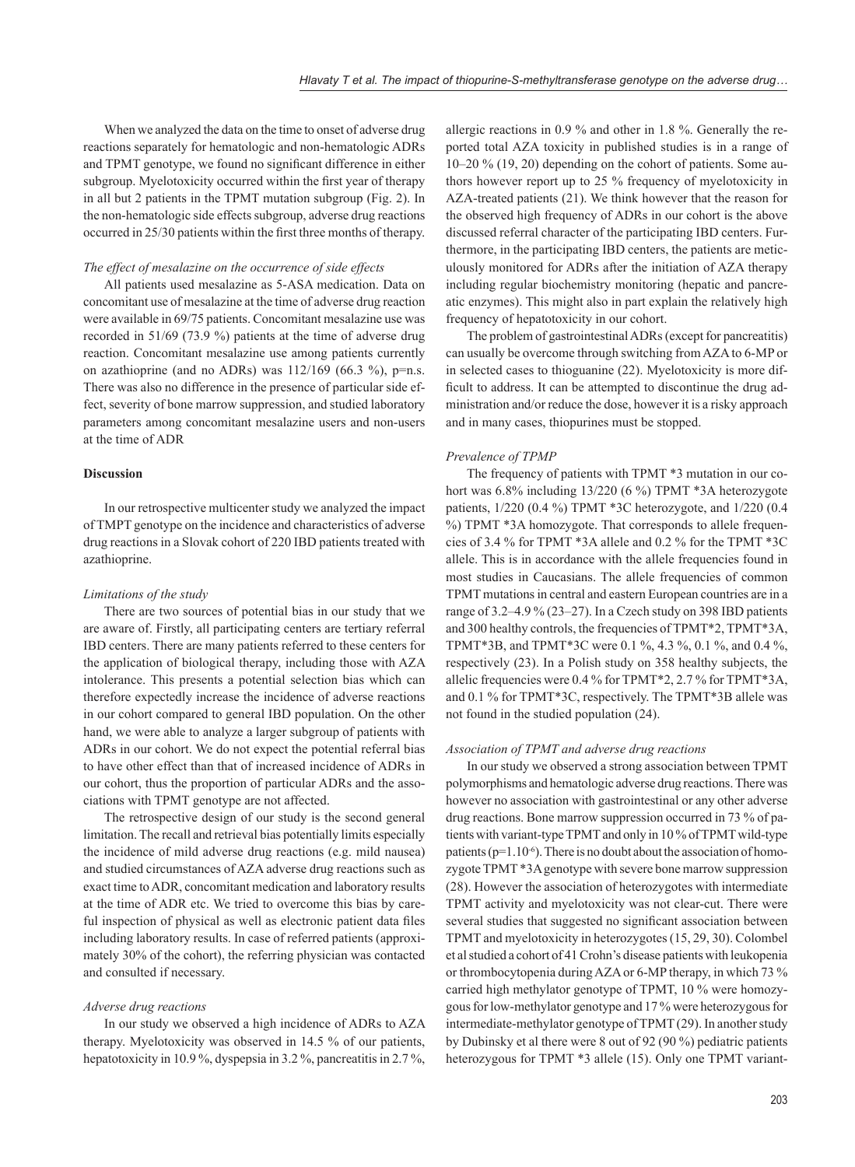When we analyzed the data on the time to onset of adverse drug reactions separately for hematologic and non-hematologic ADRs and TPMT genotype, we found no significant difference in either subgroup. Myelotoxicity occurred within the first year of therapy in all but 2 patients in the TPMT mutation subgroup (Fig. 2). In the non-hematologic side effects subgroup, adverse drug reactions occurred in 25/30 patients within the first three months of therapy.

## *The effect of mesalazine on the occurrence of side effects*

All patients used mesalazine as 5-ASA medication. Data on concomitant use of mesalazine at the time of adverse drug reaction were available in 69/75 patients. Concomitant mesalazine use was recorded in 51/69 (73.9 %) patients at the time of adverse drug reaction. Concomitant mesalazine use among patients currently on azathioprine (and no ADRs) was  $112/169$  (66.3 %), p=n.s. There was also no difference in the presence of particular side effect, severity of bone marrow suppression, and studied laboratory parameters among concomitant mesalazine users and non-users at the time of ADR

## **Discussion**

In our retrospective multicenter study we analyzed the impact of TMPT genotype on the incidence and characteristics of adverse drug reactions in a Slovak cohort of 220 IBD patients treated with azathioprine.

#### *Limitations of the study*

There are two sources of potential bias in our study that we are aware of. Firstly, all participating centers are tertiary referral IBD centers. There are many patients referred to these centers for the application of biological therapy, including those with AZA intolerance. This presents a potential selection bias which can therefore expectedly increase the incidence of adverse reactions in our cohort compared to general IBD population. On the other hand, we were able to analyze a larger subgroup of patients with ADRs in our cohort. We do not expect the potential referral bias to have other effect than that of increased incidence of ADRs in our cohort, thus the proportion of particular ADRs and the associations with TPMT genotype are not affected.

The retrospective design of our study is the second general limitation. The recall and retrieval bias potentially limits especially the incidence of mild adverse drug reactions (e.g. mild nausea) and studied circumstances of AZA adverse drug reactions such as exact time to ADR, concomitant medication and laboratory results at the time of ADR etc. We tried to overcome this bias by careful inspection of physical as well as electronic patient data files including laboratory results. In case of referred patients (approximately 30% of the cohort), the referring physician was contacted and consulted if necessary.

## *Adverse drug reactions*

In our study we observed a high incidence of ADRs to AZA therapy. Myelotoxicity was observed in 14.5 % of our patients, hepatotoxicity in 10.9 %, dyspepsia in 3.2 %, pancreatitis in 2.7 %,

allergic reactions in 0.9 % and other in 1.8 %. Generally the reported total AZA toxicity in published studies is in a range of 10–20 % (19, 20) depending on the cohort of patients. Some authors however report up to 25 % frequency of myelotoxicity in AZA-treated patients (21). We think however that the reason for the observed high frequency of ADRs in our cohort is the above discussed referral character of the participating IBD centers. Furthermore, in the participating IBD centers, the patients are meticulously monitored for ADRs after the initiation of AZA therapy including regular biochemistry monitoring (hepatic and pancreatic enzymes). This might also in part explain the relatively high frequency of hepatotoxicity in our cohort.

The problem of gastrointestinal ADRs (except for pancreatitis) can usually be overcome through switching from AZA to 6-MP or in selected cases to thioguanine (22). Myelotoxicity is more difficult to address. It can be attempted to discontinue the drug administration and/or reduce the dose, however it is a risky approach and in many cases, thiopurines must be stopped.

## *Prevalence of TPMP*

The frequency of patients with TPMT \*3 mutation in our cohort was 6.8% including 13/220 (6 %) TPMT \*3A heterozygote patients, 1/220 (0.4 %) TPMT \*3C heterozygote, and 1/220 (0.4 %) TPMT \*3A homozygote. That corresponds to allele frequencies of 3.4 % for TPMT \*3A allele and 0.2 % for the TPMT \*3C allele. This is in accordance with the allele frequencies found in most studies in Caucasians. The allele frequencies of common TPMT mutations in central and eastern European countries are in a range of 3.2–4.9 % (23–27). In a Czech study on 398 IBD patients and 300 healthy controls, the frequencies of TPMT\*2, TPMT\*3A, TPMT\*3B, and TPMT\*3C were 0.1 %, 4.3 %, 0.1 %, and 0.4 %, respectively (23). In a Polish study on 358 healthy subjects, the allelic frequencies were 0.4 % for TPMT\*2, 2.7 % for TPMT\*3A, and 0.1 % for TPMT\*3C, respectively. The TPMT\*3B allele was not found in the studied population (24).

#### *Association of TPMT and adverse drug reactions*

In our study we observed a strong association between TPMT polymorphisms and hematologic adverse drug reactions. There was however no association with gastrointestinal or any other adverse drug reactions. Bone marrow suppression occurred in 73 % of patients with variant-type TPMT and only in 10 % of TPMT wild-type patients ( $p=1.10^{-6}$ ). There is no doubt about the association of homozygote TPMT \*3A genotype with severe bone marrow suppression (28). However the association of heterozygotes with intermediate TPMT activity and myelotoxicity was not clear-cut. There were several studies that suggested no significant association between TPMT and myelotoxicity in heterozygotes (15, 29, 30). Colombel et al studied a cohort of 41 Crohn's disease patients with leukopenia or thrombocytopenia during AZA or 6-MP therapy, in which 73 % carried high methylator genotype of TPMT, 10 % were homozygous for low-methylator genotype and 17 % were heterozygous for intermediate-methylator genotype of TPMT (29). In another study by Dubinsky et al there were 8 out of 92 (90 %) pediatric patients heterozygous for TPMT \*3 allele (15). Only one TPMT variant-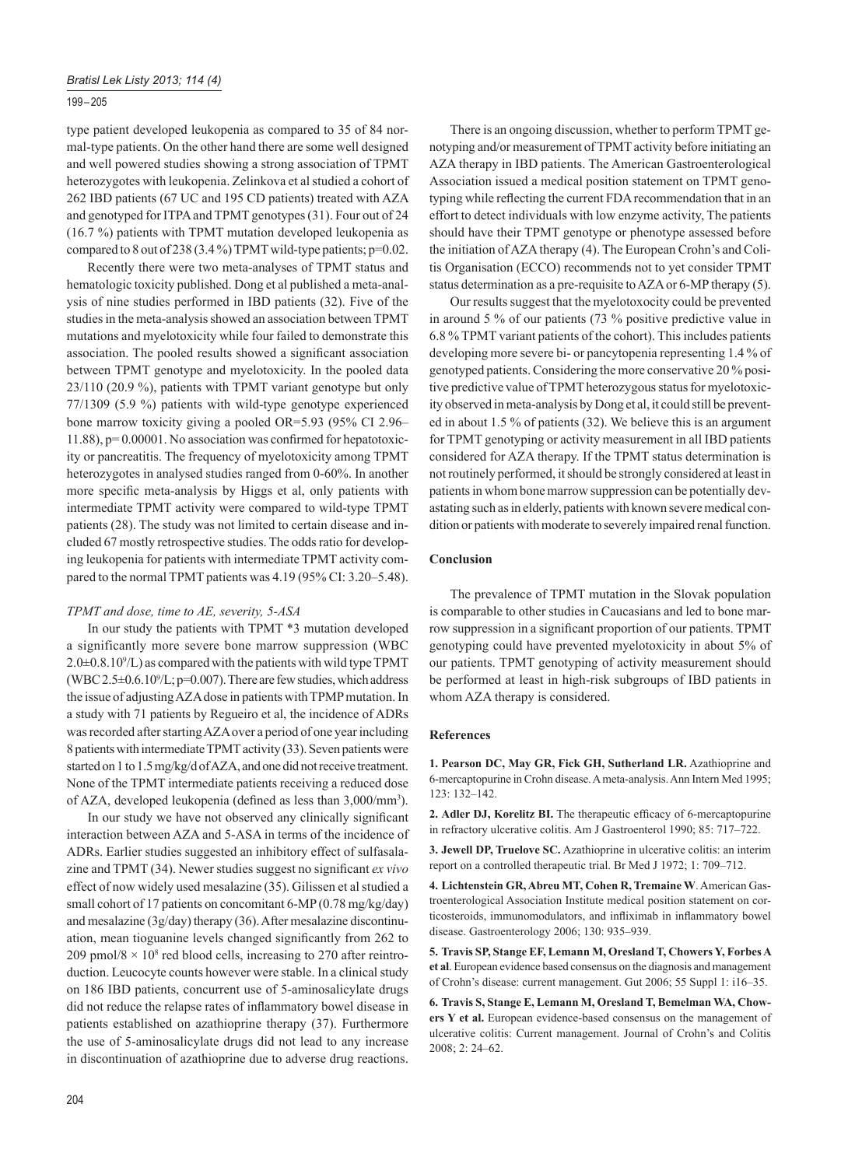## 199 – 205

type patient developed leukopenia as compared to 35 of 84 normal-type patients. On the other hand there are some well designed and well powered studies showing a strong association of TPMT heterozygotes with leukopenia. Zelinkova et al studied a cohort of 262 IBD patients (67 UC and 195 CD patients) treated with AZA and genotyped for ITPA and TPMT genotypes (31). Four out of 24 (16.7 %) patients with TPMT mutation developed leukopenia as compared to 8 out of 238 (3.4 %) TPMT wild-type patients;  $p=0.02$ .

Recently there were two meta-analyses of TPMT status and hematologic toxicity published. Dong et al published a meta-analysis of nine studies performed in IBD patients (32). Five of the studies in the meta-analysis showed an association between TPMT mutations and myelotoxicity while four failed to demonstrate this association. The pooled results showed a significant association between TPMT genotype and myelotoxicity. In the pooled data 23 /110 (20.9 %), patients with TPMT variant genotype but only 77/1309 (5.9 %) patients with wild-type genotype experienced bone marrow toxicity giving a pooled OR=5.93 (95% CI 2.96–  $11.88$ ),  $p= 0.00001$ . No association was confirmed for hepatotoxicity or pancreatitis. The frequency of myelotoxicity among TPMT heterozygotes in analysed studies ranged from 0-60%. In another more specific meta-analysis by Higgs et al, only patients with intermediate TPMT activity were compared to wild-type TPMT patients (28). The study was not limited to certain disease and included 67 mostly retrospective studies. The odds ratio for developing leukopenia for patients with intermediate TPMT activity compared to the normal TPMT patients was 4.19 (95% CI: 3.20–5.48).

## *TPMT and dose, time to AE, severity, 5-ASA*

In our study the patients with TPMT \*3 mutation developed a significantly more severe bone marrow suppression (WBC  $2.0\pm0.8.10^{\circ}/L$ ) as compared with the patients with wild type TPMT  $(WBC 2.5 \pm 0.6.10\%$ L; p=0.007). There are few studies, which address the issue of adjusting AZA dose in patients with TPMP mutation. In a study with 71 patients by Regueiro et al, the incidence of ADRs was recorded after starting AZA over a period of one year including 8 patients with intermediate TPMT activity (33). Seven patients were started on 1 to 1.5 mg/kg/d of AZA, and one did not receive treatment. None of the TPMT intermediate patients receiving a reduced dose of AZA, developed leukopenia (defined as less than 3,000/mm<sup>3</sup>).

In our study we have not observed any clinically significant interaction between AZA and 5-ASA in terms of the incidence of ADRs. Earlier studies suggested an inhibitory effect of sulfasalazine and TPMT (34). Newer studies suggest no significant *ex vivo* effect of now widely used mesalazine (35). Gilissen et al studied a small cohort of 17 patients on concomitant 6-MP (0.78 mg/kg/day) and mesalazine (3g/day) therapy (36). After mesalazine discontinuation, mean tioguanine levels changed significantly from 262 to 209 pmol/8  $\times$  10<sup>8</sup> red blood cells, increasing to 270 after reintroduction. Leucocyte counts however were stable. In a clinical study on 186 IBD patients, concurrent use of 5-aminosalicylate drugs did not reduce the relapse rates of inflammatory bowel disease in patients established on azathioprine therapy (37). Furthermore the use of 5-aminosalicylate drugs did not lead to any increase in discontinuation of azathioprine due to adverse drug reactions.

There is an ongoing discussion, whether to perform TPMT genotyping and/or measurement of TPMT activity before initiating an AZA therapy in IBD patients. The American Gastroenterological Association issued a medical position statement on TPMT genotyping while reflecting the current FDA recommendation that in an effort to detect individuals with low enzyme activity, The patients should have their TPMT genotype or phenotype assessed before the initiation of AZA therapy (4). The European Crohn's and Colitis Organisation (ECCO) recommends not to yet consider TPMT status determination as a pre-requisite to AZA or 6-MP therapy (5).

Our results suggest that the myelotoxocity could be prevented in around 5 % of our patients (73 % positive predictive value in 6.8 % TPMT variant patients of the cohort). This includes patients developing more severe bi- or pancytopenia representing 1.4 % of genotyped patients. Considering the more conservative 20 % positive predictive value of TPMT heterozygous status for myelotoxicity observed in meta-analysis by Dong et al, it could still be prevented in about 1.5 % of patients (32). We believe this is an argument for TPMT genotyping or activity measurement in all IBD patients considered for AZA therapy. If the TPMT status determination is not routinely performed, it should be strongly considered at least in patients in whom bone marrow suppression can be potentially devastating such as in elderly, patients with known severe medical condition or patients with moderate to severely impaired renal function.

## **Conclusion**

The prevalence of TPMT mutation in the Slovak population is comparable to other studies in Caucasians and led to bone marrow suppression in a significant proportion of our patients. TPMT genotyping could have prevented myelotoxicity in about 5% of our patients. TPMT genotyping of activity measurement should be performed at least in high-risk subgroups of IBD patients in whom AZA therapy is considered.

## **References**

**1. Pearson DC, May GR, Fick GH, Sutherland LR.** Azathioprine and 6-mercaptopurine in Crohn disease. A meta-analysis. Ann Intern Med 1995; 123: 132–142.

2. Adler DJ, Korelitz BI. The therapeutic efficacy of 6-mercaptopurine in refractory ulcerative colitis. Am J Gastroenterol 1990; 85: 717–722.

**3. Jewell DP, Truelove SC.** Azathioprine in ulcerative colitis: an interim report on a controlled therapeutic trial. Br Med J 1972; 1: 709–712.

**4. Lichtenstein GR, Abreu MT, Cohen R, Tremaine W**. American Gastroenterological Association Institute medical position statement on corticosteroids, immunomodulators, and infliximab in inflammatory bowel disease. Gastroenterology 2006; 130: 935–939.

**5. Travis SP, Stange EF, Lemann M, Oresland T, Chowers Y, Forbes A et al**. European evidence based consensus on the diagnosis and management of Crohn's disease: current management. Gut 2006; 55 Suppl 1: i16–35.

**6. Travis S, Stange E, Lemann M, Oresland T, Bemelman WA, Chowers Y et al.** European evidence-based consensus on the management of ulcerative colitis: Current management. Journal of Crohn's and Colitis 2008; 2: 24–62.